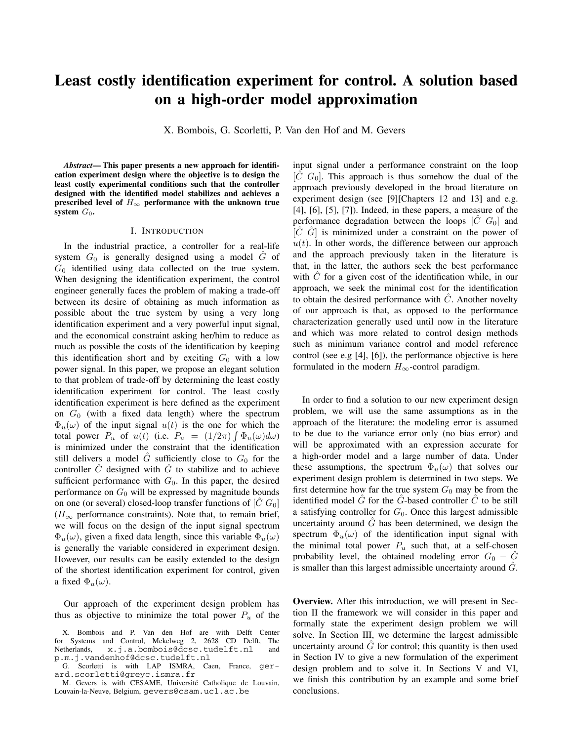# **Least costly identification experiment for control. A solution based on a high-order model approximation**

X. Bombois, G. Scorletti, P. Van den Hof and M. Gevers

*Abstract***— This paper presents a new approach for identification experiment design where the objective is to design the least costly experimental conditions such that the controller designed with the identified model stabilizes and achieves a prescribed level of**  $H_{\infty}$  **performance with the unknown true system**  $G_0$ .

## I. INTRODUCTION

In the industrial practice, a controller for a real-life system  $G_0$  is generally designed using a model  $\tilde{G}$  of  $G_0$  identified using data collected on the true system. When designing the identification experiment, the control engineer generally faces the problem of making a trade-off between its desire of obtaining as much information as possible about the true system by using a very long identification experiment and a very powerful input signal, and the economical constraint asking her/him to reduce as much as possible the costs of the identification by keeping this identification short and by exciting  $G_0$  with a low power signal. In this paper, we propose an elegant solution to that problem of trade-off by determining the least costly identification experiment for control. The least costly identification experiment is here defined as the experiment on  $G_0$  (with a fixed data length) where the spectrum  $\Phi_u(\omega)$  of the input signal  $u(t)$  is the one for which the total power  $P_u$  of  $u(t)$  (i.e.  $P_u = (1/2\pi) \int \Phi_u(\omega) d\omega$ ) is minimized under the constraint that the identification still delivers a model  $\tilde{G}$  sufficiently close to  $G_0$  for the controller  $\tilde{C}$  designed with  $\tilde{G}$  to stabilize and to achieve sufficient performance with  $G_0$ . In this paper, the desired performance on  $G_0$  will be expressed by magnitude bounds on one (or several) closed-loop transfer functions of  $[\tilde{C} G_0]$  $(H_{\infty})$  performance constraints). Note that, to remain brief, we will focus on the design of the input signal spectrum  $\Phi_u(\omega)$ , given a fixed data length, since this variable  $\Phi_u(\omega)$ is generally the variable considered in experiment design. However, our results can be easily extended to the design of the shortest identification experiment for control, given a fixed  $\Phi_u(\omega)$ .

Our approach of the experiment design problem has thus as objective to minimize the total power  $P_u$  of the input signal under a performance constraint on the loop  $[C G<sub>0</sub>]$ . This approach is thus somehow the dual of the approach previously developed in the broad literature on experiment design (see [9][Chapters 12 and 13] and e.g. [4], [6], [5], [7]). Indeed, in these papers, a measure of the performance degradation between the loops  $[\hat{C} \ G_0]$  and  $[\hat{C} \ \hat{G}]$  is minimized under a constraint on the power of  $u(t)$ . In other words, the difference between our approach and the approach previously taken in the literature is that, in the latter, the authors seek the best performance with  $\ddot{C}$  for a given cost of the identification while, in our approach, we seek the minimal cost for the identification to obtain the desired performance with  $\ddot{C}$ . Another novelty of our approach is that, as opposed to the performance characterization generally used until now in the literature and which was more related to control design methods such as minimum variance control and model reference control (see e.g [4], [6]), the performance objective is here formulated in the modern  $H_{\infty}$ -control paradigm.

In order to find a solution to our new experiment design problem, we will use the same assumptions as in the approach of the literature: the modeling error is assumed to be due to the variance error only (no bias error) and will be approximated with an expression accurate for a high-order model and a large number of data. Under these assumptions, the spectrum  $\Phi_u(\omega)$  that solves our experiment design problem is determined in two steps. We first determine how far the true system  $G_0$  may be from the identified model  $\tilde{G}$  for the  $\tilde{G}$ -based controller  $\tilde{C}$  to be still a satisfying controller for  $G_0$ . Once this largest admissible uncertainty around  $\tilde{G}$  has been determined, we design the spectrum  $\Phi_u(\omega)$  of the identification input signal with the minimal total power  $P_u$  such that, at a self-chosen probability level, the obtained modeling error  $G_0 - \tilde{G}$ is smaller than this largest admissible uncertainty around  $G$ .

**Overview.** After this introduction, we will present in Section II the framework we will consider in this paper and formally state the experiment design problem we will solve. In Section III, we determine the largest admissible uncertainty around  $\hat{G}$  for control; this quantity is then used in Section IV to give a new formulation of the experiment design problem and to solve it. In Sections V and VI, we finish this contribution by an example and some brief conclusions.

X. Bombois and P. Van den Hof are with Delft Center for Systems and Control, Mekelweg 2, 2628 CD Delft, The Netherlands, x.j.a.bombois@dcsc.tudelft.nl and p.m.j.vandenhof@dcsc.tudelft.nl

G. Scorletti is with LAP ISMRA, Caen, France, gerard.scorletti@greyc.ismra.fr

M. Gevers is with CESAME, Université Catholique de Louvain, Louvain-la-Neuve, Belgium, gevers@csam.ucl.ac.be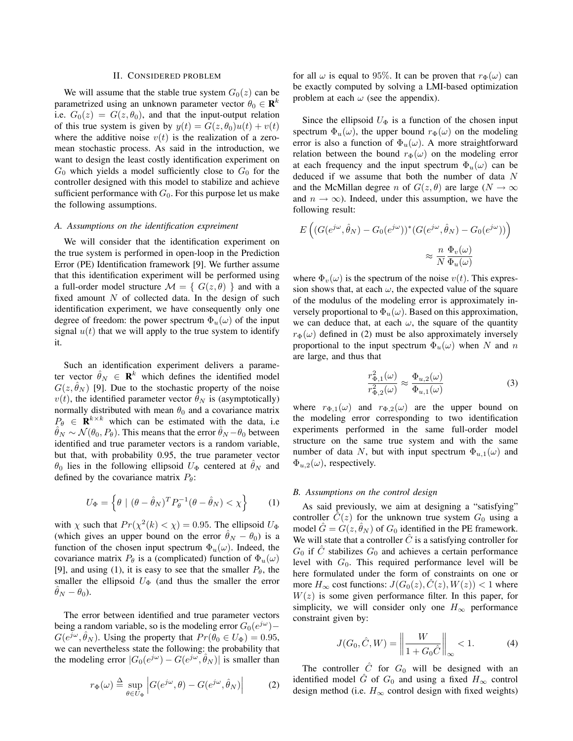#### II. CONSIDERED PROBLEM

We will assume that the stable true system  $G_0(z)$  can be parametrized using an unknown parameter vector  $\theta_0 \in \mathbb{R}^k$ i.e.  $G_0(z) = G(z, \theta_0)$ , and that the input-output relation of this true system is given by  $y(t) = G(z, \theta_0)u(t) + v(t)$ where the additive noise  $v(t)$  is the realization of a zeromean stochastic process. As said in the introduction, we want to design the least costly identification experiment on  $G_0$  which yields a model sufficiently close to  $G_0$  for the controller designed with this model to stabilize and achieve sufficient performance with  $G_0$ . For this purpose let us make the following assumptions.

## *A. Assumptions on the identification expreiment*

We will consider that the identification experiment on the true system is performed in open-loop in the Prediction Error (PE) Identification framework [9]. We further assume that this identification experiment will be performed using a full-order model structure  $\mathcal{M} = \{ G(z, \theta) \}$  and with a fixed amount  $N$  of collected data. In the design of such identification experiment, we have consequently only one degree of freedom: the power spectrum  $\Phi_u(\omega)$  of the input signal  $u(t)$  that we will apply to the true system to identify it.

Such an identification experiment delivers a parameter vector  $\hat{\theta}_N \in \mathbf{R}^k$  which defines the identified model  $G(z, \hat{\theta}_N)$  [9]. Due to the stochastic property of the noise  $v(t)$ , the identified parameter vector  $\hat{\theta}_N$  is (asymptotically) normally distributed with mean  $\theta_0$  and a covariance matrix  $P_{\theta} \in \mathbf{R}^{k \times k}$  which can be estimated with the data, i.e  $\hat{\theta}_N \sim \mathcal{N}(\theta_0, P_{\theta})$ . This means that the error  $\hat{\theta}_N - \theta_0$  between identified and true parameter vectors is a random variable, but that, with probability 0.95, the true parameter vector  $\theta_0$  lies in the following ellipsoid  $U_\Phi$  centered at  $\theta_N$  and defined by the covariance matrix  $P_{\theta}$ :

$$
U_{\Phi} = \left\{ \theta \mid (\theta - \hat{\theta}_N)^T P_{\theta}^{-1} (\theta - \hat{\theta}_N) < \chi \right\} \tag{1}
$$

with  $\chi$  such that  $Pr(\chi^2(k) < \chi) = 0.95$ . The ellipsoid  $U_{\Phi}$ (which gives an upper bound on the error  $\hat{\theta}_N - \theta_0$ ) is a function of the chosen input spectrum  $\Phi_u(\omega)$ . Indeed, the covariance matrix  $P_{\theta}$  is a (complicated) function of  $\Phi_u(\omega)$ [9], and using (1), it is easy to see that the smaller  $P_{\theta}$ , the smaller the ellipsoid  $U_{\Phi}$  (and thus the smaller the error  $\hat{\theta}_N - \theta_0$ ).

The error between identified and true parameter vectors being a random variable, so is the modeling error  $G_0(e^{j\omega})$ −  $G(e^{j\omega}, \hat{\theta}_N)$ . Using the property that  $Pr(\theta_0 \in U_{\Phi})=0.95$ , we can nevertheless state the following: the probability that the modeling error  $|G_0(e^{j\omega}) - G(e^{j\omega}, \hat{\theta}_N)|$  is smaller than

$$
r_{\Phi}(\omega) \stackrel{\Delta}{=} \sup_{\theta \in U_{\Phi}} \left| G(e^{j\omega}, \theta) - G(e^{j\omega}, \hat{\theta}_N) \right| \tag{2}
$$

for all  $\omega$  is equal to 95%. It can be proven that  $r_{\Phi}(\omega)$  can be exactly computed by solving a LMI-based optimization problem at each  $\omega$  (see the appendix).

Since the ellipsoid  $U_{\Phi}$  is a function of the chosen input spectrum  $\Phi_u(\omega)$ , the upper bound  $r_{\Phi}(\omega)$  on the modeling error is also a function of  $\Phi_u(\omega)$ . A more straightforward relation between the bound  $r_{\Phi}(\omega)$  on the modeling error at each frequency and the input spectrum  $\Phi_u(\omega)$  can be deduced if we assume that both the number of data N and the McMillan degree n of  $G(z, \theta)$  are large ( $N \to \infty$ ) and  $n \to \infty$ ). Indeed, under this assumption, we have the following result:

$$
E\left((G(e^{j\omega},\hat{\theta}_N) - G_0(e^{j\omega}))^*(G(e^{j\omega},\hat{\theta}_N) - G_0(e^{j\omega}))\right)
$$

$$
\approx \frac{n}{N} \frac{\Phi_v(\omega)}{\Phi_u(\omega)}
$$

where  $\Phi_v(\omega)$  is the spectrum of the noise  $v(t)$ . This expression shows that, at each  $\omega$ , the expected value of the square of the modulus of the modeling error is approximately inversely proportional to  $\Phi_u(\omega)$ . Based on this approximation, we can deduce that, at each  $\omega$ , the square of the quantity  $r_{\Phi}(\omega)$  defined in (2) must be also approximately inversely proportional to the input spectrum  $\Phi_u(\omega)$  when N and n are large, and thus that

$$
\frac{r_{\Phi,1}^2(\omega)}{r_{\Phi,2}^2(\omega)} \approx \frac{\Phi_{u,2}(\omega)}{\Phi_{u,1}(\omega)}\tag{3}
$$

where  $r_{\Phi,1}(\omega)$  and  $r_{\Phi,2}(\omega)$  are the upper bound on the modeling error corresponding to two identification experiments performed in the same full-order model structure on the same true system and with the same number of data N, but with input spectrum  $\Phi_{u,1}(\omega)$  and  $\Phi_{u,2}(\omega)$ , respectively.

#### *B. Assumptions on the control design*

As said previously, we aim at designing a "satisfying" controller  $C(z)$  for the unknown true system  $G_0$  using a model  $\hat{G} = G(z, \hat{\theta}_N)$  of  $G_0$  identified in the PE framework. We will state that a controller  $\hat{C}$  is a satisfying controller for  $G_0$  if  $\hat{C}$  stabilizes  $G_0$  and achieves a certain performance level with  $G_0$ . This required performance level will be here formulated under the form of constraints on one or more  $H_{\infty}$  cost functions:  $J(G_0(z), \tilde{C}(z), W(z)) < 1$  where  $W(z)$  is some given performance filter. In this paper, for simplicity, we will consider only one  $H_{\infty}$  performance constraint given by:

$$
J(G_0, \hat{C}, W) = \left\| \frac{W}{1 + G_0 \hat{C}} \right\|_{\infty} < 1.
$$
 (4)

The controller  $\hat{C}$  for  $G_0$  will be designed with an identified model  $\hat{G}$  of  $G_0$  and using a fixed  $H_{\infty}$  control design method (i.e.  $H_{\infty}$  control design with fixed weights)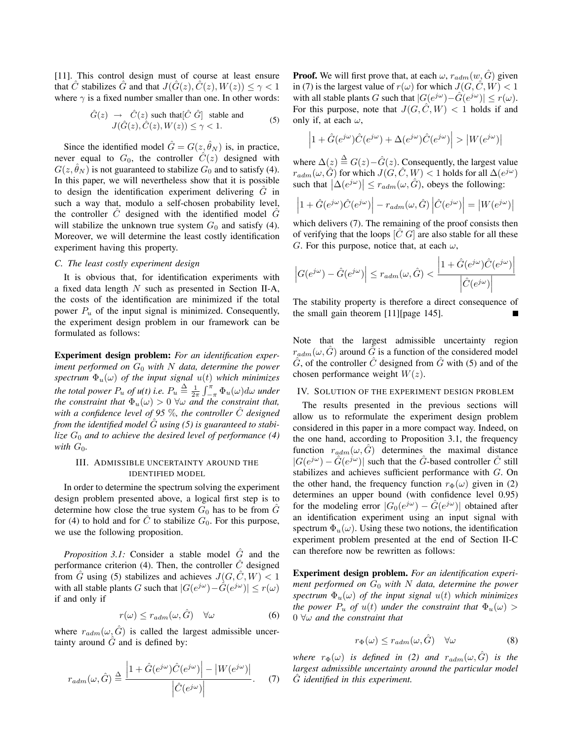[11]. This control design must of course at least ensure that C stabilizes G and that  $J(\hat{G}(z), \hat{C}(z), W(z)) \leq \gamma < 1$ where  $\gamma$  is a fixed number smaller than one. In other words:

$$
\hat{G}(z) \rightarrow \hat{C}(z) \text{ such that } [\hat{C} \ \hat{G}] \text{ stable and} J(\hat{G}(z), \hat{C}(z), W(z)) \le \gamma < 1.
$$
 (5)

Since the identified model  $\hat{G} = G(z, \hat{\theta}_N)$  is, in practice, never equal to  $G_0$ , the controller  $\hat{C}(z)$  designed with  $G(z, \hat{\theta}_N)$  is not guaranteed to stabilize  $G_0$  and to satisfy (4). In this paper, we will nevertheless show that it is possible to design the identification experiment delivering  $G$  in such a way that, modulo a self-chosen probability level, the controller  $C$  designed with the identified model  $G$ will stabilize the unknown true system  $G_0$  and satisfy (4). Moreover, we will determine the least costly identification experiment having this property.

## *C. The least costly experiment design*

It is obvious that, for identification experiments with a fixed data length N such as presented in Section II-A, the costs of the identification are minimized if the total power  $P_u$  of the input signal is minimized. Consequently, the experiment design problem in our framework can be formulated as follows:

**Experiment design problem:** *For an identification experiment performed on* G<sup>0</sup> *with* N *data, determine the power spectrum*  $\Phi_u(\omega)$  *of the input signal*  $u(t)$  *which minimizes the total power*  $P_u$  *of u(t) i.e.*  $P_u \triangleq \frac{1}{2\pi} \int_{-\pi}^{\pi} \Phi_u(\omega) d\omega$  under *the constraint that*  $\Phi_u(\omega) > 0$   $\forall \omega$  *and the constraint that, with a confidence level of 95*  $\%$ *, the controller*  $\hat{C}$  *designed from the identified model* Gˆ *using (5) is guaranteed to stabilize*  $G_0$  *and to achieve the desired level of performance* (4) *with*  $G_0$ *.* 

# III. ADMISSIBLE UNCERTAINTY AROUND THE IDENTIFIED MODEL

In order to determine the spectrum solving the experiment design problem presented above, a logical first step is to determine how close the true system  $G_0$  has to be from  $\tilde{G}$ for (4) to hold and for  $\ddot{C}$  to stabilize  $G_0$ . For this purpose, we use the following proposition.

*Proposition 3.1:* Consider a stable model  $\hat{G}$  and the performance criterion (4). Then, the controller  $\hat{C}$  designed from  $\hat{G}$  using (5) stabilizes and achieves  $J(G, \hat{C}, W) < 1$ with all stable plants G such that  $|G(e^{j\omega})-\hat{G}(e^{j\omega})| \leq r(\omega)$ if and only if

$$
r(\omega) \le r_{adm}(\omega, \hat{G}) \quad \forall \omega \tag{6}
$$

where  $r_{adm}(\omega, \hat{G})$  is called the largest admissible uncertainty around  $\hat{G}$  and is defined by:

$$
r_{adm}(\omega, \hat{G}) \triangleq \frac{\left| 1 + \hat{G}(e^{j\omega})\hat{C}(e^{j\omega}) \right| - \left| W(e^{j\omega}) \right|}{\left| \hat{C}(e^{j\omega}) \right|}. \tag{7}
$$

**Proof.** We will first prove that, at each  $\omega$ ,  $r_{adm}(w, \tilde{G})$  given in (7) is the largest value of  $r(\omega)$  for which  $J(G, \hat{C}, W) < 1$ with all stable plants G such that  $|G(e^{j\omega})-\hat{G}(e^{j\omega})| \leq r(\omega)$ . For this purpose, note that  $J(G, \hat{C}, W) < 1$  holds if and only if, at each  $\omega$ ,

$$
\left|1+\hat{G}(e^{j\omega})\hat{C}(e^{j\omega})+\Delta(e^{j\omega})\hat{C}(e^{j\omega})\right|>\left|W(e^{j\omega})\right|
$$

where  $\Delta(z) \stackrel{\Delta}{=} G(z) - \hat{G}(z)$ . Consequently, the largest value  $r_{adm}(\omega, \hat{G})$  for which  $J(G, \hat{C}, W)$  < 1 holds for all  $\Delta(e^{j\omega})$ such that  $|\Delta(e^{j\omega})| \leq r_{adm}(\omega, \hat{G})$ , obeys the following:

$$
\left|1+\hat{G}(e^{j\omega})\hat{C}(e^{j\omega})\right| - r_{adm}(\omega,\hat{G})\left|\hat{C}(e^{j\omega})\right| = |W(e^{j\omega})|
$$

which delivers (7). The remaining of the proof consists then of verifying that the loops  $[C G]$  are also stable for all these G. For this purpose, notice that, at each  $\omega$ ,

$$
\left| G(e^{j\omega}) - \hat{G}(e^{j\omega}) \right| \le r_{adm}(\omega, \hat{G}) < \frac{\left| 1 + \hat{G}(e^{j\omega})\hat{C}(e^{j\omega}) \right|}{\left| \hat{C}(e^{j\omega}) \right|}
$$

The stability property is therefore a direct consequence of the small gain theorem [11][page 145].

Note that the largest admissible uncertainty region  $r_{adm}(\omega, \tilde{G})$  around  $\tilde{G}$  is a function of the considered model  $\tilde{G}$ , of the controller  $\tilde{C}$  designed from  $\tilde{G}$  with (5) and of the chosen performance weight  $W(z)$ .

## IV. SOLUTION OF THE EXPERIMENT DESIGN PROBLEM

The results presented in the previous sections will allow us to reformulate the experiment design problem considered in this paper in a more compact way. Indeed, on the one hand, according to Proposition 3.1, the frequency function  $r_{adm}(\omega, \hat{G})$  determines the maximal distance  $|G(e^{j\omega}) - \tilde{G}(e^{j\omega})|$  such that the  $\tilde{G}$ -based controller  $\tilde{C}$  still stabilizes and achieves sufficient performance with G. On the other hand, the frequency function  $r_{\Phi}(\omega)$  given in (2) determines an upper bound (with confidence level 0.95) for the modeling error  $|G_0(e^{j\omega}) - \hat{G}(e^{j\omega})|$  obtained after an identification experiment using an input signal with spectrum  $\Phi_u(\omega)$ . Using these two notions, the identification experiment problem presented at the end of Section II-C can therefore now be rewritten as follows:

**Experiment design problem.** *For an identification experiment performed on* G<sup>0</sup> *with* N *data, determine the power spectrum*  $\Phi_u(\omega)$  *of the input signal*  $u(t)$  *which minimizes the power*  $P_u$  *of*  $u(t)$  *under the constraint that*  $\Phi_u(\omega)$ 0 ∀ω *and the constraint that*

$$
r_{\Phi}(\omega) \le r_{adm}(\omega, \hat{G}) \quad \forall \omega \tag{8}
$$

*where*  $r_{\Phi}(\omega)$  *is defined in (2) and*  $r_{adm}(\omega, \hat{G})$  *is the largest admissible uncertainty around the particular model* Gˆ *identified in this experiment.*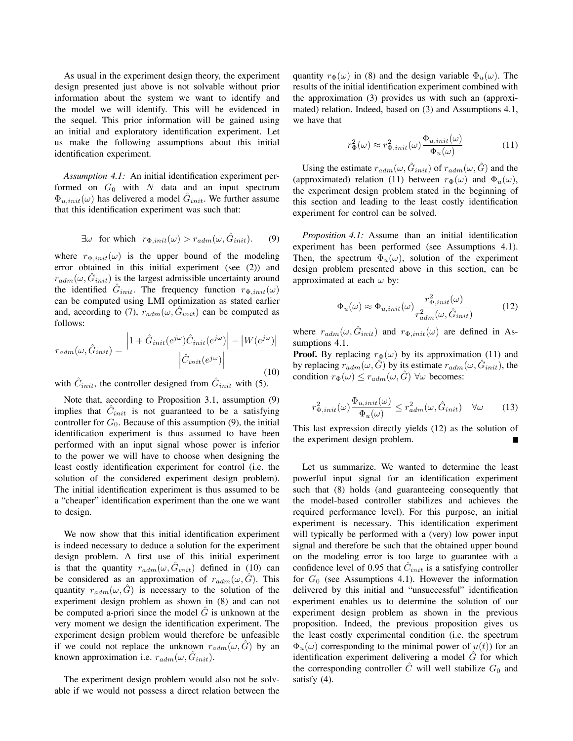As usual in the experiment design theory, the experiment design presented just above is not solvable without prior information about the system we want to identify and the model we will identify. This will be evidenced in the sequel. This prior information will be gained using an initial and exploratory identification experiment. Let us make the following assumptions about this initial identification experiment.

*Assumption 4.1:* An initial identification experiment performed on  $G_0$  with N data and an input spectrum  $\Phi_{u,init}(\omega)$  has delivered a model  $\hat{G}_{init}$ . We further assume that this identification experiment was such that:

$$
\exists \omega \text{ for which } r_{\Phi,init}(\omega) > r_{adm}(\omega, \hat{G}_{init}). \tag{9}
$$

where  $r_{\Phi,init}(\omega)$  is the upper bound of the modeling error obtained in this initial experiment (see (2)) and  $r_{adm}(\omega, \hat{G}_{init})$  is the largest admissible uncertainty around the identified  $\hat{G}_{init}$ . The frequency function  $r_{\Phi,init}(\omega)$ can be computed using LMI optimization as stated earlier and, according to (7),  $r_{adm}(\omega, \hat{G}_{init})$  can be computed as follows:

$$
r_{adm}(\omega, \hat{G}_{init}) = \frac{\left|1 + \hat{G}_{init}(e^{j\omega})\hat{C}_{init}(e^{j\omega})\right| - |W(e^{j\omega})|}{\left|\hat{C}_{init}(e^{j\omega})\right|}
$$
(10)

with  $\hat{C}_{init}$ , the controller designed from  $\hat{G}_{init}$  with (5).

Note that, according to Proposition 3.1, assumption (9) implies that  $\hat{C}_{init}$  is not guaranteed to be a satisfying controller for  $G_0$ . Because of this assumption (9), the initial identification experiment is thus assumed to have been performed with an input signal whose power is inferior to the power we will have to choose when designing the least costly identification experiment for control (i.e. the solution of the considered experiment design problem). The initial identification experiment is thus assumed to be a "cheaper" identification experiment than the one we want to design.

We now show that this initial identification experiment is indeed necessary to deduce a solution for the experiment design problem. A first use of this initial experiment is that the quantity  $r_{adm}(\omega, G_{init})$  defined in (10) can be considered as an approximation of  $r_{adm}(\omega, \hat{G})$ . This quantity  $r_{adm}(\omega, G)$  is necessary to the solution of the experiment design problem as shown in (8) and can not be computed a-priori since the model  $\hat{G}$  is unknown at the very moment we design the identification experiment. The experiment design problem would therefore be unfeasible if we could not replace the unknown  $r_{adm}(\omega, \hat{G})$  by an known approximation i.e.  $r_{adm}(\omega, \hat{G}_{init}).$ 

The experiment design problem would also not be solvable if we would not possess a direct relation between the quantity  $r_{\Phi}(\omega)$  in (8) and the design variable  $\Phi_u(\omega)$ . The results of the initial identification experiment combined with the approximation (3) provides us with such an (approximated) relation. Indeed, based on (3) and Assumptions 4.1, we have that

$$
r_{\Phi}^{2}(\omega) \approx r_{\Phi,init}^{2}(\omega) \frac{\Phi_{u,init}(\omega)}{\Phi_{u}(\omega)}
$$
(11)

Using the estimate  $r_{adm}(\omega, \hat{G}_{init})$  of  $r_{adm}(\omega, \hat{G})$  and the (approximated) relation (11) between  $r_{\Phi}(\omega)$  and  $\Phi_u(\omega)$ , the experiment design problem stated in the beginning of this section and leading to the least costly identification experiment for control can be solved.

*Proposition 4.1:* Assume than an initial identification experiment has been performed (see Assumptions 4.1). Then, the spectrum  $\Phi_u(\omega)$ , solution of the experiment design problem presented above in this section, can be approximated at each  $\omega$  by:

$$
\Phi_u(\omega) \approx \Phi_{u,init}(\omega) \frac{r_{\Phi,init}^2(\omega)}{r_{adm}^2(\omega, \hat{G}_{init})}
$$
(12)

where  $r_{adm}(\omega, \hat{G}_{init})$  and  $r_{\Phi,init}(\omega)$  are defined in Assumptions 4.1.

**Proof.** By replacing  $r_{\Phi}(\omega)$  by its approximation (11) and by replacing  $r_{adm}(\omega, \hat{G})$  by its estimate  $r_{adm}(\omega, \hat{G}_{init})$ , the condition  $r_{\Phi}(\omega) \leq r_{adm}(\omega, \hat{G})$   $\forall \omega$  becomes:

$$
r_{\Phi,init}^2(\omega) \frac{\Phi_{u,init}(\omega)}{\Phi_u(\omega)} \le r_{adm}^2(\omega, \hat{G}_{init}) \quad \forall \omega \qquad (13)
$$

This last expression directly yields (12) as the solution of the experiment design problem.

Let us summarize. We wanted to determine the least powerful input signal for an identification experiment such that (8) holds (and guaranteeing consequently that the model-based controller stabilizes and achieves the required performance level). For this purpose, an initial experiment is necessary. This identification experiment will typically be performed with a (very) low power input signal and therefore be such that the obtained upper bound on the modeling error is too large to guarantee with a confidence level of 0.95 that  $C_{init}$  is a satisfying controller for  $G_0$  (see Assumptions 4.1). However the information delivered by this initial and "unsuccessful" identification experiment enables us to determine the solution of our experiment design problem as shown in the previous proposition. Indeed, the previous proposition gives us the least costly experimental condition (i.e. the spectrum  $\Phi_u(\omega)$  corresponding to the minimal power of  $u(t)$ ) for an identification experiment delivering a model  $\tilde{G}$  for which the corresponding controller  $\hat{C}$  will well stabilize  $G_0$  and satisfy  $(4)$ .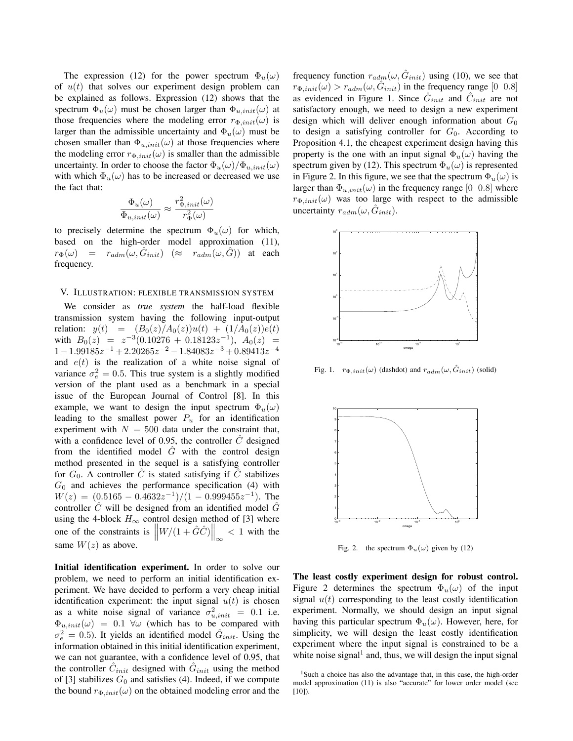The expression (12) for the power spectrum  $\Phi_u(\omega)$ of  $u(t)$  that solves our experiment design problem can be explained as follows. Expression (12) shows that the spectrum  $\Phi_u(\omega)$  must be chosen larger than  $\Phi_{u,init}(\omega)$  at those frequencies where the modeling error  $r_{\Phi,init}(\omega)$  is larger than the admissible uncertainty and  $\Phi_u(\omega)$  must be chosen smaller than  $\Phi_{u,init}(\omega)$  at those frequencies where the modeling error  $r_{\Phi,init}(\omega)$  is smaller than the admissible uncertainty. In order to choose the factor  $\Phi_u(\omega)/\Phi_{u,init}(\omega)$ with which  $\Phi_u(\omega)$  has to be increased or decreased we use the fact that:

$$
\frac{\Phi_u(\omega)}{\Phi_{u,init}(\omega)} \approx \frac{r_{\Phi,init}^2(\omega)}{r_{\Phi}^2(\omega)}
$$

to precisely determine the spectrum  $\Phi_u(\omega)$  for which, based on the high-order model approximation (11),  $r_{\Phi}(\omega) = r_{adm}(\omega, \hat{G}_{init})$   $(\approx r_{adm}(\omega, \hat{G}))$  at each frequency.

## V. ILLUSTRATION: FLEXIBLE TRANSMISSION SYSTEM

We consider as *true system* the half-load flexible transmission system having the following input-output relation:  $y(t) = (B_0(z)/A_0(z))u(t) + (1/A_0(z))e(t)$ with  $B_0(z) = z^{-3}(0.10276 + 0.18123z^{-1}), A_0(z) =$  $1-1.99185z^{-1}+2.20265z^{-2}-1.84083z^{-3}+0.89413z^{-4}$ and  $e(t)$  is the realization of a white noise signal of variance  $\sigma_e^2 = 0.5$ . This true system is a slightly modified version of the plant used as a benchmark in a special issue of the European Journal of Control [8]. In this example, we want to design the input spectrum  $\Phi_u(\omega)$ leading to the smallest power  $P_u$  for an identification experiment with  $N = 500$  data under the constraint that, with a confidence level of 0.95, the controller  $\hat{C}$  designed from the identified model  $\hat{G}$  with the control design method presented in the sequel is a satisfying controller for  $G_0$ . A controller  $\hat{C}$  is stated satisfying if  $\hat{C}$  stabilizes  $G_0$  and achieves the performance specification (4) with  $W(z) = (0.5165 - 0.4632z^{-1})/(1 - 0.999455z^{-1})$ . The controller  $\ddot{C}$  will be designed from an identified model  $\ddot{G}$ using the 4-block  $H_{\infty}$  control design method of [3] where one of the constraints is  $\left\|W/(1+\hat{G}\hat{C})\right\|_{\infty}$  $< 1$  with the same  $W(z)$  as above.

**Initial identification experiment.** In order to solve our problem, we need to perform an initial identification experiment. We have decided to perform a very cheap initial identification experiment: the input signal  $u(t)$  is chosen as a white noise signal of variance  $\sigma_{u,init}^2 = 0.1$  i.e.  $\Phi_{u,init}(\omega) = 0.1 \ \forall \omega$  (which has to be compared with  $\sigma_e^2 = 0.5$ ). It yields an identified model  $\hat{G}_{init}$ . Using the information obtained in this initial identification experiment, we can not guarantee, with a confidence level of 0.95, that the controller  $\hat{C}_{init}$  designed with  $\hat{G}_{init}$  using the method of [3] stabilizes  $G_0$  and satisfies (4). Indeed, if we compute the bound  $r_{\Phi,init}(\omega)$  on the obtained modeling error and the

frequency function  $r_{adm}(\omega, \hat{G}_{init})$  using (10), we see that  $r_{\Phi,init}(\omega) > r_{adm}(\omega, \hat{G}_{init})$  in the frequency range [0 0.8] as evidenced in Figure 1. Since  $\hat{G}_{init}$  and  $\hat{C}_{init}$  are not satisfactory enough, we need to design a new experiment design which will deliver enough information about  $G_0$ to design a satisfying controller for  $G_0$ . According to Proposition 4.1, the cheapest experiment design having this property is the one with an input signal  $\Phi_u(\omega)$  having the spectrum given by (12). This spectrum  $\Phi_u(\omega)$  is represented in Figure 2. In this figure, we see that the spectrum  $\Phi_u(\omega)$  is larger than  $\Phi_{u,init}(\omega)$  in the frequency range [0 0.8] where  $r_{\Phi,init}(\omega)$  was too large with respect to the admissible uncertainty  $r_{adm}(\omega, \hat{G}_{init}).$ 



Fig. 1.  $r_{\Phi,init}(\omega)$  (dashdot) and  $r_{adm}(\omega, \hat{G}_{init})$  (solid)



Fig. 2. the spectrum  $\Phi_u(\omega)$  given by (12)

**The least costly experiment design for robust control.** Figure 2 determines the spectrum  $\Phi_u(\omega)$  of the input signal  $u(t)$  corresponding to the least costly identification experiment. Normally, we should design an input signal having this particular spectrum  $\Phi_u(\omega)$ . However, here, for simplicity, we will design the least costly identification experiment where the input signal is constrained to be a white noise signal<sup>1</sup> and, thus, we will design the input signal

<sup>&</sup>lt;sup>1</sup>Such a choice has also the advantage that, in this case, the high-order model approximation (11) is also "accurate" for lower order model (see  $[10]$ ).